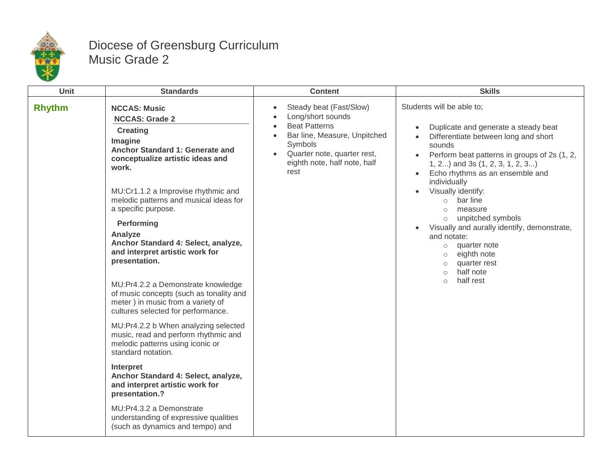

## Diocese of Greensburg Curriculum Music Grade 2

| Unit          | <b>Standards</b>                                                                                                                                                                                                                                                                                                                                                                                                                                                                                                                                                                                                                                                                                                                                                                                                                                                                                               | <b>Content</b>                                                                                                                                                                                                   | <b>Skills</b>                                                                                                                                                                                                                                                                                                                                                                                                                                                                                                                                                                                                               |
|---------------|----------------------------------------------------------------------------------------------------------------------------------------------------------------------------------------------------------------------------------------------------------------------------------------------------------------------------------------------------------------------------------------------------------------------------------------------------------------------------------------------------------------------------------------------------------------------------------------------------------------------------------------------------------------------------------------------------------------------------------------------------------------------------------------------------------------------------------------------------------------------------------------------------------------|------------------------------------------------------------------------------------------------------------------------------------------------------------------------------------------------------------------|-----------------------------------------------------------------------------------------------------------------------------------------------------------------------------------------------------------------------------------------------------------------------------------------------------------------------------------------------------------------------------------------------------------------------------------------------------------------------------------------------------------------------------------------------------------------------------------------------------------------------------|
| <b>Rhythm</b> | <b>NCCAS: Music</b><br><b>NCCAS: Grade 2</b><br><b>Creating</b><br>Imagine<br>Anchor Standard 1: Generate and<br>conceptualize artistic ideas and<br>work.<br>MU:Cr1.1.2 a Improvise rhythmic and<br>melodic patterns and musical ideas for<br>a specific purpose.<br>Performing<br>Analyze<br>Anchor Standard 4: Select, analyze,<br>and interpret artistic work for<br>presentation.<br>MU:Pr4.2.2 a Demonstrate knowledge<br>of music concepts (such as tonality and<br>meter) in music from a variety of<br>cultures selected for performance.<br>MU:Pr4.2.2 b When analyzing selected<br>music, read and perform rhythmic and<br>melodic patterns using iconic or<br>standard notation.<br>Interpret<br>Anchor Standard 4: Select, analyze,<br>and interpret artistic work for<br>presentation.?<br>MU:Pr4.3.2 a Demonstrate<br>understanding of expressive qualities<br>(such as dynamics and tempo) and | Steady beat (Fast/Slow)<br>Long/short sounds<br><b>Beat Patterns</b><br>$\bullet$<br>Bar line, Measure, Unpitched<br>$\bullet$<br>Symbols<br>Quarter note, quarter rest,<br>eighth note, half note, half<br>rest | Students will be able to;<br>Duplicate and generate a steady beat<br>$\bullet$<br>Differentiate between long and short<br>$\bullet$<br>sounds<br>Perform beat patterns in groups of 2s (1, 2,<br>$\bullet$<br>1, 2) and 3s (1, 2, 3, 1, 2, 3)<br>Echo rhythms as an ensemble and<br>$\bullet$<br>individually<br>Visually identify:<br>bar line<br>$\circ$<br>measure<br>$\circ$<br>unpitched symbols<br>$\circ$<br>Visually and aurally identify, demonstrate,<br>$\bullet$<br>and notate:<br>quarter note<br>$\circ$<br>eighth note<br>$\circ$<br>quarter rest<br>$\circ$<br>half note<br>$\circ$<br>half rest<br>$\circ$ |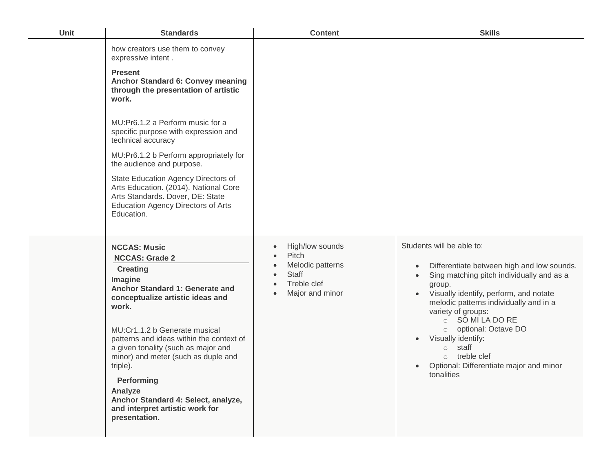| Unit | <b>Standards</b>                                                                                                                                                                                                                                                                                                                                                                                                                                                                                                             | <b>Content</b>                                                                                              | <b>Skills</b>                                                                                                                                                                                                                                                                                                                                                                                                                                                      |
|------|------------------------------------------------------------------------------------------------------------------------------------------------------------------------------------------------------------------------------------------------------------------------------------------------------------------------------------------------------------------------------------------------------------------------------------------------------------------------------------------------------------------------------|-------------------------------------------------------------------------------------------------------------|--------------------------------------------------------------------------------------------------------------------------------------------------------------------------------------------------------------------------------------------------------------------------------------------------------------------------------------------------------------------------------------------------------------------------------------------------------------------|
|      | how creators use them to convey<br>expressive intent.<br><b>Present</b><br><b>Anchor Standard 6: Convey meaning</b><br>through the presentation of artistic<br>work.<br>MU:Pr6.1.2 a Perform music for a<br>specific purpose with expression and<br>technical accuracy<br>MU:Pr6.1.2 b Perform appropriately for<br>the audience and purpose.<br>State Education Agency Directors of<br>Arts Education. (2014). National Core<br>Arts Standards. Dover, DE: State<br><b>Education Agency Directors of Arts</b><br>Education. |                                                                                                             |                                                                                                                                                                                                                                                                                                                                                                                                                                                                    |
|      | <b>NCCAS: Music</b><br><b>NCCAS: Grade 2</b><br><b>Creating</b><br>Imagine<br>Anchor Standard 1: Generate and<br>conceptualize artistic ideas and<br>work.<br>MU:Cr1.1.2 b Generate musical<br>patterns and ideas within the context of<br>a given tonality (such as major and<br>minor) and meter (such as duple and<br>triple).<br>Performing<br>Analyze<br>Anchor Standard 4: Select, analyze,<br>and interpret artistic work for<br>presentation.                                                                        | High/low sounds<br>Pitch<br>Melodic patterns<br><b>Staff</b><br>Treble clef<br>Major and minor<br>$\bullet$ | Students will be able to:<br>Differentiate between high and low sounds.<br>$\bullet$<br>Sing matching pitch individually and as a<br>$\bullet$<br>group.<br>Visually identify, perform, and notate<br>melodic patterns individually and in a<br>variety of groups:<br>○ SO MI LA DO RE<br>optional: Octave DO<br>$\circ$<br>Visually identify:<br>staff<br>$\circ$<br>treble clef<br>$\circ$<br>Optional: Differentiate major and minor<br>$\bullet$<br>tonalities |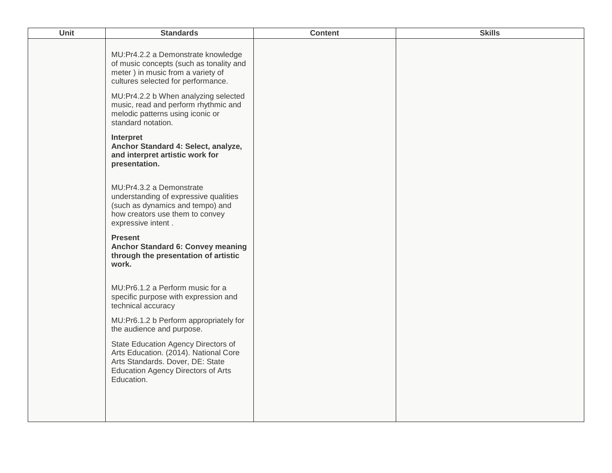| Unit | <b>Standards</b>                                                                                                                                                            | <b>Content</b> | <b>Skills</b> |
|------|-----------------------------------------------------------------------------------------------------------------------------------------------------------------------------|----------------|---------------|
|      | MU:Pr4.2.2 a Demonstrate knowledge<br>of music concepts (such as tonality and<br>meter) in music from a variety of<br>cultures selected for performance.                    |                |               |
|      | MU:Pr4.2.2 b When analyzing selected<br>music, read and perform rhythmic and<br>melodic patterns using iconic or<br>standard notation.                                      |                |               |
|      | Interpret<br>Anchor Standard 4: Select, analyze,<br>and interpret artistic work for<br>presentation.                                                                        |                |               |
|      | MU:Pr4.3.2 a Demonstrate<br>understanding of expressive qualities<br>(such as dynamics and tempo) and<br>how creators use them to convey<br>expressive intent.              |                |               |
|      | <b>Present</b><br><b>Anchor Standard 6: Convey meaning</b><br>through the presentation of artistic<br>work.                                                                 |                |               |
|      | MU:Pr6.1.2 a Perform music for a<br>specific purpose with expression and<br>technical accuracy                                                                              |                |               |
|      | MU:Pr6.1.2 b Perform appropriately for<br>the audience and purpose.                                                                                                         |                |               |
|      | State Education Agency Directors of<br>Arts Education. (2014). National Core<br>Arts Standards. Dover, DE: State<br><b>Education Agency Directors of Arts</b><br>Education. |                |               |
|      |                                                                                                                                                                             |                |               |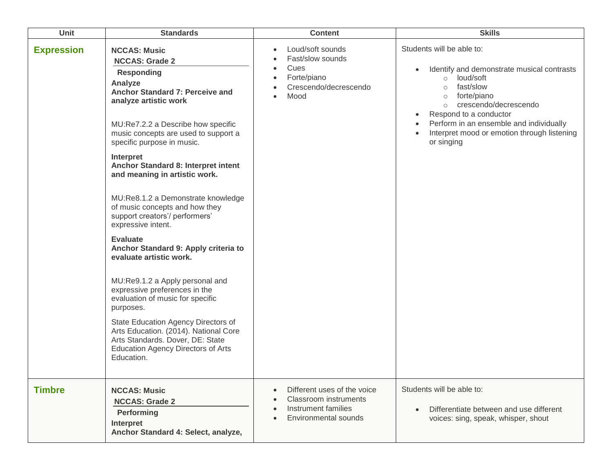| <b>Unit</b>       | <b>Standards</b>                                                                                                                                                                                                                                                                                                                                                                                                                                                                                                                                                                                                                                                                                                                                                                                                                                                    | <b>Content</b>                                                                                                          | <b>Skills</b>                                                                                                                                                                                                                                                                                                           |
|-------------------|---------------------------------------------------------------------------------------------------------------------------------------------------------------------------------------------------------------------------------------------------------------------------------------------------------------------------------------------------------------------------------------------------------------------------------------------------------------------------------------------------------------------------------------------------------------------------------------------------------------------------------------------------------------------------------------------------------------------------------------------------------------------------------------------------------------------------------------------------------------------|-------------------------------------------------------------------------------------------------------------------------|-------------------------------------------------------------------------------------------------------------------------------------------------------------------------------------------------------------------------------------------------------------------------------------------------------------------------|
| <b>Expression</b> | <b>NCCAS: Music</b><br><b>NCCAS: Grade 2</b><br><b>Responding</b><br>Analyze<br>Anchor Standard 7: Perceive and<br>analyze artistic work<br>MU:Re7.2.2 a Describe how specific<br>music concepts are used to support a<br>specific purpose in music.<br>Interpret<br>Anchor Standard 8: Interpret intent<br>and meaning in artistic work.<br>MU:Re8.1.2 a Demonstrate knowledge<br>of music concepts and how they<br>support creators'/ performers'<br>expressive intent.<br><b>Evaluate</b><br>Anchor Standard 9: Apply criteria to<br>evaluate artistic work.<br>MU:Re9.1.2 a Apply personal and<br>expressive preferences in the<br>evaluation of music for specific<br>purposes.<br>State Education Agency Directors of<br>Arts Education. (2014). National Core<br>Arts Standards. Dover, DE: State<br><b>Education Agency Directors of Arts</b><br>Education. | Loud/soft sounds<br>$\bullet$<br>Fast/slow sounds<br>Cues<br>$\bullet$<br>Forte/piano<br>Crescendo/decrescendo<br>Mood  | Students will be able to:<br>Identify and demonstrate musical contrasts<br>loud/soft<br>$\circ$<br>fast/slow<br>$\circ$<br>forte/piano<br>$\circ$<br>crescendo/decrescendo<br>$\circ$<br>Respond to a conductor<br>Perform in an ensemble and individually<br>Interpret mood or emotion through listening<br>or singing |
| <b>Timbre</b>     | <b>NCCAS: Music</b><br><b>NCCAS: Grade 2</b><br>Performing<br>Interpret<br>Anchor Standard 4: Select, analyze,                                                                                                                                                                                                                                                                                                                                                                                                                                                                                                                                                                                                                                                                                                                                                      | Different uses of the voice<br><b>Classroom instruments</b><br>Instrument families<br>Environmental sounds<br>$\bullet$ | Students will be able to:<br>Differentiate between and use different<br>voices: sing, speak, whisper, shout                                                                                                                                                                                                             |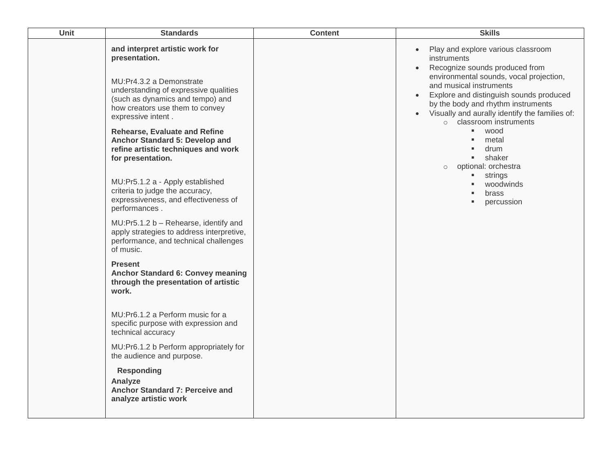| Unit | <b>Standards</b>                                                                                                                                                                                                   | <b>Content</b> | <b>Skills</b>                                                                                                                                                                                                                                                                                                                                                                                                                                                                      |
|------|--------------------------------------------------------------------------------------------------------------------------------------------------------------------------------------------------------------------|----------------|------------------------------------------------------------------------------------------------------------------------------------------------------------------------------------------------------------------------------------------------------------------------------------------------------------------------------------------------------------------------------------------------------------------------------------------------------------------------------------|
|      | and interpret artistic work for<br>presentation.<br>MU:Pr4.3.2 a Demonstrate<br>understanding of expressive qualities<br>(such as dynamics and tempo) and<br>how creators use them to convey<br>expressive intent. |                | Play and explore various classroom<br>instruments<br>Recognize sounds produced from<br>environmental sounds, vocal projection,<br>and musical instruments<br>Explore and distinguish sounds produced<br>$\bullet$<br>by the body and rhythm instruments<br>Visually and aurally identify the families of:<br>o classroom instruments<br>wood<br>٠,<br>metal<br>٠<br>drum<br>٠<br>shaker<br>optional: orchestra<br>$\circ$<br>strings<br>٠<br>woodwinds<br>brass<br>percussion<br>٠ |
|      | <b>Rehearse, Evaluate and Refine</b><br>Anchor Standard 5: Develop and<br>refine artistic techniques and work<br>for presentation.                                                                                 |                |                                                                                                                                                                                                                                                                                                                                                                                                                                                                                    |
|      | MU:Pr5.1.2 a - Apply established<br>criteria to judge the accuracy,<br>expressiveness, and effectiveness of<br>performances.                                                                                       |                |                                                                                                                                                                                                                                                                                                                                                                                                                                                                                    |
|      | MU:Pr5.1.2 b - Rehearse, identify and<br>apply strategies to address interpretive,<br>performance, and technical challenges<br>of music.                                                                           |                |                                                                                                                                                                                                                                                                                                                                                                                                                                                                                    |
|      | <b>Present</b><br><b>Anchor Standard 6: Convey meaning</b><br>through the presentation of artistic<br>work.                                                                                                        |                |                                                                                                                                                                                                                                                                                                                                                                                                                                                                                    |
|      | MU:Pr6.1.2 a Perform music for a<br>specific purpose with expression and<br>technical accuracy                                                                                                                     |                |                                                                                                                                                                                                                                                                                                                                                                                                                                                                                    |
|      | MU:Pr6.1.2 b Perform appropriately for<br>the audience and purpose.                                                                                                                                                |                |                                                                                                                                                                                                                                                                                                                                                                                                                                                                                    |
|      | <b>Responding</b><br>Analyze<br>Anchor Standard 7: Perceive and<br>analyze artistic work                                                                                                                           |                |                                                                                                                                                                                                                                                                                                                                                                                                                                                                                    |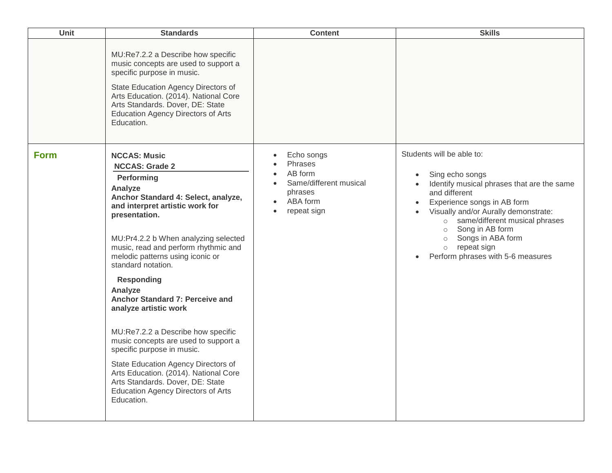| Unit        | <b>Standards</b>                                                                                                                                                                                                                                                                                                                                                                                                                                                                                                                                                                                                                                                                                  | <b>Content</b>                                                                                                                                                    | <b>Skills</b>                                                                                                                                                                                                                                                                                                                                                                              |
|-------------|---------------------------------------------------------------------------------------------------------------------------------------------------------------------------------------------------------------------------------------------------------------------------------------------------------------------------------------------------------------------------------------------------------------------------------------------------------------------------------------------------------------------------------------------------------------------------------------------------------------------------------------------------------------------------------------------------|-------------------------------------------------------------------------------------------------------------------------------------------------------------------|--------------------------------------------------------------------------------------------------------------------------------------------------------------------------------------------------------------------------------------------------------------------------------------------------------------------------------------------------------------------------------------------|
|             | MU:Re7.2.2 a Describe how specific<br>music concepts are used to support a<br>specific purpose in music.<br>State Education Agency Directors of<br>Arts Education. (2014). National Core<br>Arts Standards. Dover, DE: State<br><b>Education Agency Directors of Arts</b><br>Education.                                                                                                                                                                                                                                                                                                                                                                                                           |                                                                                                                                                                   |                                                                                                                                                                                                                                                                                                                                                                                            |
| <b>Form</b> | <b>NCCAS: Music</b><br><b>NCCAS: Grade 2</b><br>Performing<br>Analyze<br>Anchor Standard 4: Select, analyze,<br>and interpret artistic work for<br>presentation.<br>MU:Pr4.2.2 b When analyzing selected<br>music, read and perform rhythmic and<br>melodic patterns using iconic or<br>standard notation.<br><b>Responding</b><br>Analyze<br>Anchor Standard 7: Perceive and<br>analyze artistic work<br>MU:Re7.2.2 a Describe how specific<br>music concepts are used to support a<br>specific purpose in music.<br>State Education Agency Directors of<br>Arts Education. (2014). National Core<br>Arts Standards. Dover, DE: State<br><b>Education Agency Directors of Arts</b><br>Education. | Echo songs<br>$\bullet$<br>Phrases<br>AB form<br>$\bullet$<br>Same/different musical<br>$\bullet$<br>phrases<br>ABA form<br>$\bullet$<br>repeat sign<br>$\bullet$ | Students will be able to:<br>Sing echo songs<br>$\bullet$<br>Identify musical phrases that are the same<br>$\bullet$<br>and different<br>Experience songs in AB form<br>$\bullet$<br>Visually and/or Aurally demonstrate:<br>same/different musical phrases<br>$\circ$<br>Song in AB form<br>$\circ$<br>Songs in ABA form<br>$\circ$<br>o repeat sign<br>Perform phrases with 5-6 measures |